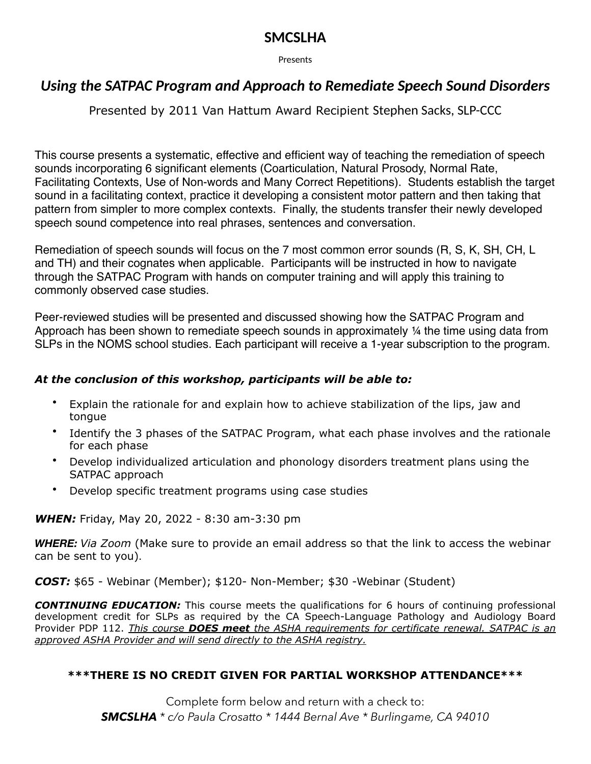# **SMCSLHA**

Presents

# *Using the SATPAC Program and Approach to Remediate Speech Sound Disorders*

Presented by 2011 Van Hattum Award Recipient Stephen Sacks, SLP-CCC

This course presents a systematic, effective and efficient way of teaching the remediation of speech sounds incorporating 6 significant elements (Coarticulation, Natural Prosody, Normal Rate, Facilitating Contexts, Use of Non-words and Many Correct Repetitions). Students establish the target sound in a facilitating context, practice it developing a consistent motor pattern and then taking that pattern from simpler to more complex contexts. Finally, the students transfer their newly developed speech sound competence into real phrases, sentences and conversation.

Remediation of speech sounds will focus on the 7 most common error sounds (R, S, K, SH, CH, L and TH) and their cognates when applicable. Participants will be instructed in how to navigate through the SATPAC Program with hands on computer training and will apply this training to commonly observed case studies.

Peer-reviewed studies will be presented and discussed showing how the SATPAC Program and Approach has been shown to remediate speech sounds in approximately ¼ the time using data from SLPs in the NOMS school studies. Each participant will receive a 1-year subscription to the program.

## *At the conclusion of this workshop, participants will be able to:*

- Explain the rationale for and explain how to achieve stabilization of the lips, jaw and tongue
- Identify the 3 phases of the SATPAC Program, what each phase involves and the rationale for each phase
- Develop individualized articulation and phonology disorders treatment plans using the SATPAC approach
- Develop specific treatment programs using case studies

*WHEN:* Friday, May 20, 2022 - 8:30 am-3:30 pm

*WHERE: Via Zoom* (Make sure to provide an email address so that the link to access the webinar can be sent to you).

*COST:* \$65 - Webinar (Member); \$120- Non-Member; \$30 -Webinar (Student)

*CONTINUING EDUCATION:* This course meets the qualifications for 6 hours of continuing professional development credit for SLPs as required by the CA Speech-Language Pathology and Audiology Board Provider PDP 112. *This course DOES meet the ASHA requirements for certificate renewal. SATPAC is an approved ASHA Provider and will send directly to the ASHA registry.*

### **\*\*\*THERE IS NO CREDIT GIVEN FOR PARTIAL WORKSHOP ATTENDANCE\*\*\***

Complete form below and return with a check to: *SMCSLHA \* c/o Paula Crosatto \* 1444 Bernal Ave \* Burlingame, CA 94010*